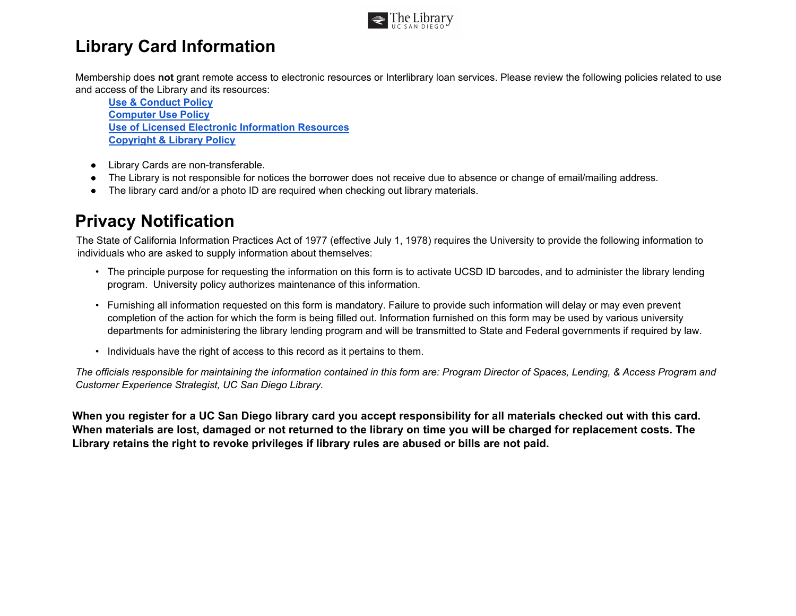

## **Library Card Information**

Membership does **not** grant remote access to electronic resources or Interlibrary loan services. Please review the following policies related to use and access of the Library and its resources:

**[Use & Conduct Policy](https://library.ucsd.edu/about/policies/library-use-and-conduct-code.html) [Computer Use Policy](https://library.ucsd.edu/about/policies/library-computer-use-policy.html) [Use of Licensed Electronic Information Resources](https://library.ucsd.edu/about/policies/appropriate-use-of-licensed-electronic-information-resources.html) [Copyright & Library Policy](https://library.ucsd.edu/about/policies/copyright-policy.html)**

- Library Cards are non-transferable.
- The Library is not responsible for notices the borrower does not receive due to absence or change of email/mailing address.
- The library card and/or a photo ID are required when checking out library materials.

## **Privacy Notification**

The State of California Information Practices Act of 1977 (effective July 1, 1978) requires the University to provide the following information to individuals who are asked to supply information about themselves:

- The principle purpose for requesting the information on this form is to activate UCSD ID barcodes, and to administer the library lending program. University policy authorizes maintenance of this information.
- Furnishing all information requested on this form is mandatory. Failure to provide such information will delay or may even prevent completion of the action for which the form is being filled out. Information furnished on this form may be used by various university departments for administering the library lending program and will be transmitted to State and Federal governments if required by law.
- Individuals have the right of access to this record as it pertains to them.

*The officials responsible for maintaining the information contained in this form are: Program Director of Spaces, Lending, & Access Program and Customer Experience Strategist, UC San Diego Library.* 

**When you register for a UC San Diego library card you accept responsibility for all materials checked out with this card. When materials are lost, damaged or not returned to the library on time you will be charged for replacement costs. The Library retains the right to revoke privileges if library rules are abused or bills are not paid.**